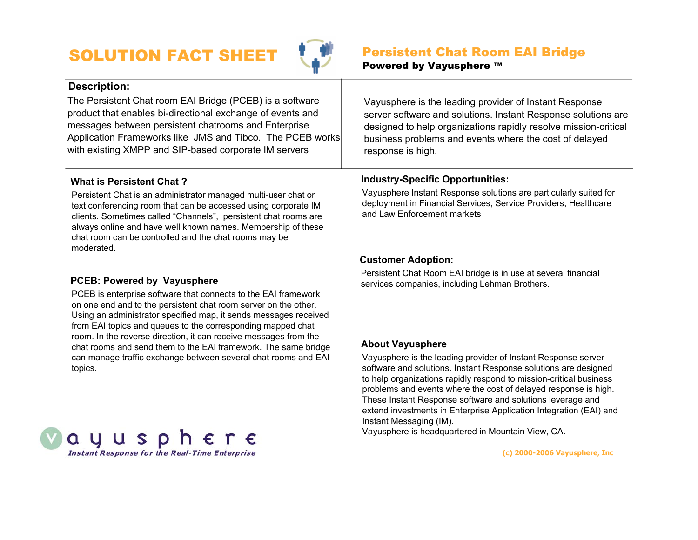# SOLUTION FACT SHEET



Vayusphere is the leading provider of Instant Response

server software and solutions. Instant Response solutions are designed to help organizations rapidly resolve mission-critical business problems and events where the cost of delayed

# **Description:**

The Persistent Chat room EAI Bridge (PCEB) is a software product that enables bi-directional exchange of events and messages between persistent chatrooms and Enterprise Application Frameworks like JMS and Tibco. The PCEB works with existing XMPP and SIP-based corporate IM servers

# **What is Persistent Chat ?**

Persistent Chat is an administrator managed multi-user chat or text conferencing room that can be accessed using corporate IM clients. Sometimes called "Channels", persistent chat rooms are always online and have well known names. Membership of these chat room can be controlled and the chat rooms may be moderated.

# response is high.

#### **Industry-Specific Opportunities:**

Vayusphere Instant Response solutions are particularly suited for deployment in Financial Services, Service Providers, Healthcare and Law Enforcement markets

### **PCEB: Powered by Vayusphere**

**S** 

Q

PCEB is enterprise software that connects to the EAI framework on one end and to the persistent chat room server on the other. Using an administrator specified map, it sends messages received from EAI topics and queues to the corresponding mapped chat room. In the reverse direction, it can receive messages from the chat rooms and send them to the EAI framework. The same bridge can manage traffic exchange between several chat rooms and EAI topics.

#### **Customer Adoption:**

Persistent Chat Room EAI bridge is in use at several financial services companies, including Lehman Brothers.

#### **About Vayusphere**

Vayusphere is the leading provider of Instant Response server software and solutions. Instant Response solutions are designed to help organizations rapidly respond to mission-critical business problems and events where the cost of delayed response is high. These Instant Response software and solutions leverage and extend investments in Enterprise Application Integration (EAI) and Instant Messaging (IM).

Vayusphere is headquartered in Mountain View, CA.